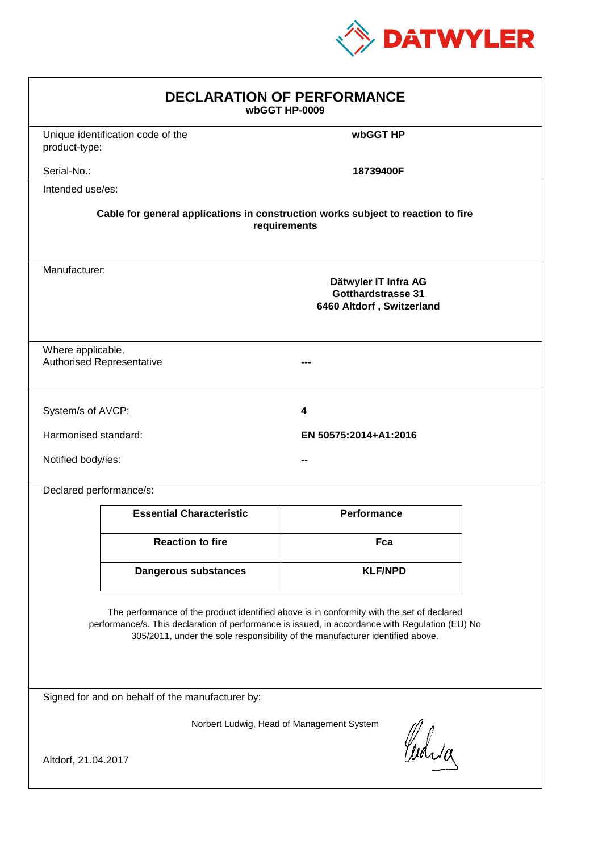

|                         |                                                                                                 | <b>DECLARATION OF PERFORMANCE</b><br>wbGGT HP-0009                                                                                                                         |  |
|-------------------------|-------------------------------------------------------------------------------------------------|----------------------------------------------------------------------------------------------------------------------------------------------------------------------------|--|
| product-type:           | Unique identification code of the                                                               | wbGGT HP                                                                                                                                                                   |  |
| Serial-No.:             |                                                                                                 | 18739400F                                                                                                                                                                  |  |
| Intended use/es:        |                                                                                                 |                                                                                                                                                                            |  |
|                         | Cable for general applications in construction works subject to reaction to fire                | requirements                                                                                                                                                               |  |
| Manufacturer:           |                                                                                                 | Dätwyler IT Infra AG<br><b>Gotthardstrasse 31</b><br>6460 Altdorf, Switzerland                                                                                             |  |
| Where applicable,       | <b>Authorised Representative</b>                                                                |                                                                                                                                                                            |  |
| System/s of AVCP:       |                                                                                                 | 4                                                                                                                                                                          |  |
| Harmonised standard:    |                                                                                                 | EN 50575:2014+A1:2016                                                                                                                                                      |  |
| Notified body/ies:      |                                                                                                 |                                                                                                                                                                            |  |
| Declared performance/s: |                                                                                                 |                                                                                                                                                                            |  |
|                         | <b>Essential Characteristic</b>                                                                 | <b>Performance</b>                                                                                                                                                         |  |
|                         | <b>Reaction to fire</b>                                                                         | Fca                                                                                                                                                                        |  |
|                         | <b>Dangerous substances</b>                                                                     | <b>KLF/NPD</b>                                                                                                                                                             |  |
|                         | performance/s. This declaration of performance is issued, in accordance with Regulation (EU) No | The performance of the product identified above is in conformity with the set of declared<br>305/2011, under the sole responsibility of the manufacturer identified above. |  |
|                         | Signed for and on behalf of the manufacturer by:                                                |                                                                                                                                                                            |  |
| Altdorf, 21.04.2017     |                                                                                                 | Norbert Ludwig, Head of Management System<br>Curia                                                                                                                         |  |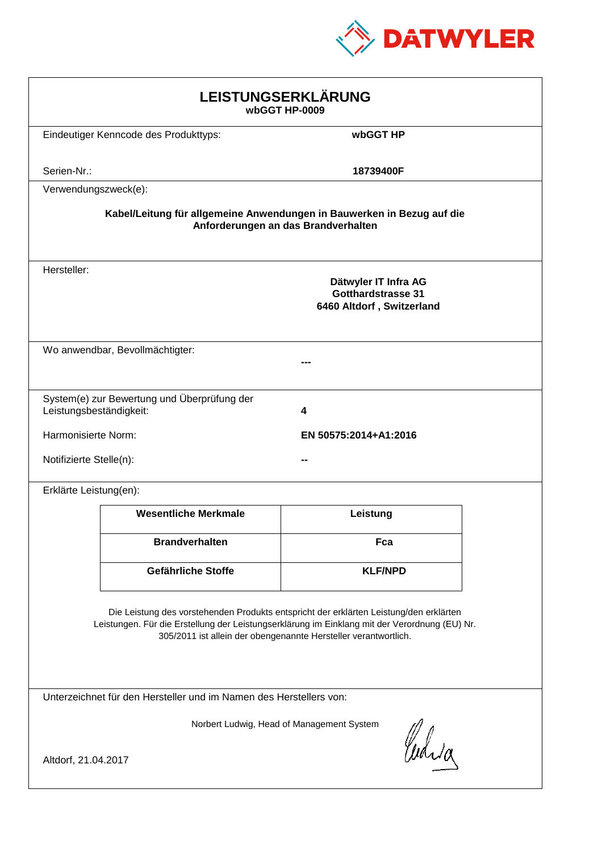

|                         |                                                                                                                                                                                         | LEISTUNGSERKLÄRUNG<br>wbGGT HP-0009                                            |  |
|-------------------------|-----------------------------------------------------------------------------------------------------------------------------------------------------------------------------------------|--------------------------------------------------------------------------------|--|
|                         | Eindeutiger Kenncode des Produkttyps:                                                                                                                                                   | wbGGT HP                                                                       |  |
| Serien-Nr.:             |                                                                                                                                                                                         | 18739400F                                                                      |  |
| Verwendungszweck(e):    |                                                                                                                                                                                         |                                                                                |  |
|                         | Kabel/Leitung für allgemeine Anwendungen in Bauwerken in Bezug auf die                                                                                                                  | Anforderungen an das Brandverhalten                                            |  |
| Hersteller:             |                                                                                                                                                                                         | Dätwyler IT Infra AG<br><b>Gotthardstrasse 31</b><br>6460 Altdorf, Switzerland |  |
|                         | Wo anwendbar, Bevollmächtigter:                                                                                                                                                         |                                                                                |  |
| Leistungsbeständigkeit: | System(e) zur Bewertung und Überprüfung der                                                                                                                                             | 4                                                                              |  |
| Harmonisierte Norm:     |                                                                                                                                                                                         | EN 50575:2014+A1:2016                                                          |  |
| Notifizierte Stelle(n): |                                                                                                                                                                                         |                                                                                |  |
| Erklärte Leistung(en):  |                                                                                                                                                                                         |                                                                                |  |
|                         | <b>Wesentliche Merkmale</b>                                                                                                                                                             | Leistung                                                                       |  |
|                         | <b>Brandverhalten</b>                                                                                                                                                                   | Fca                                                                            |  |
|                         | Gefährliche Stoffe                                                                                                                                                                      | <b>KLF/NPD</b>                                                                 |  |
|                         | Die Leistung des vorstehenden Produkts entspricht der erklärten Leistung/den erklärten<br>Leistungen. Für die Erstellung der Leistungserklärung im Einklang mit der Verordnung (EU) Nr. | 305/2011 ist allein der obengenannte Hersteller verantwortlich.                |  |
|                         | Unterzeichnet für den Hersteller und im Namen des Herstellers von:                                                                                                                      |                                                                                |  |
|                         |                                                                                                                                                                                         | Norbert Ludwig, Head of Management System<br>Curia                             |  |
| Altdorf, 21.04.2017     |                                                                                                                                                                                         |                                                                                |  |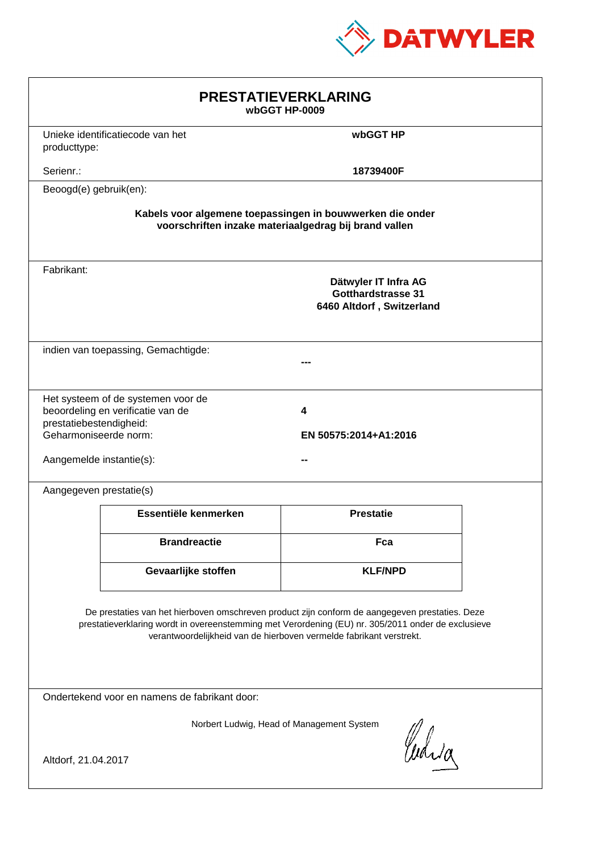

|                                                                              |                                                                                                                                                                                                      | <b>PRESTATIEVERKLARING</b><br>wbGGT HP-0009                                                                        |  |
|------------------------------------------------------------------------------|------------------------------------------------------------------------------------------------------------------------------------------------------------------------------------------------------|--------------------------------------------------------------------------------------------------------------------|--|
| producttype:                                                                 | Unieke identificatiecode van het                                                                                                                                                                     | wbGGT HP                                                                                                           |  |
| Serienr.:                                                                    |                                                                                                                                                                                                      | 18739400F                                                                                                          |  |
| Beoogd(e) gebruik(en):                                                       |                                                                                                                                                                                                      |                                                                                                                    |  |
|                                                                              |                                                                                                                                                                                                      | Kabels voor algemene toepassingen in bouwwerken die onder<br>voorschriften inzake materiaalgedrag bij brand vallen |  |
| Fabrikant:                                                                   |                                                                                                                                                                                                      | Dätwyler IT Infra AG<br>Gotthardstrasse 31<br>6460 Altdorf, Switzerland                                            |  |
|                                                                              | indien van toepassing, Gemachtigde:                                                                                                                                                                  |                                                                                                                    |  |
| prestatiebestendigheid:<br>Geharmoniseerde norm:<br>Aangemelde instantie(s): | Het systeem of de systemen voor de<br>beoordeling en verificatie van de                                                                                                                              | 4<br>EN 50575:2014+A1:2016                                                                                         |  |
| Aangegeven prestatie(s)                                                      |                                                                                                                                                                                                      |                                                                                                                    |  |
|                                                                              | Essentiële kenmerken                                                                                                                                                                                 | <b>Prestatie</b>                                                                                                   |  |
|                                                                              | <b>Brandreactie</b>                                                                                                                                                                                  | Fca                                                                                                                |  |
|                                                                              | Gevaarlijke stoffen                                                                                                                                                                                  | <b>KLF/NPD</b>                                                                                                     |  |
|                                                                              | De prestaties van het hierboven omschreven product zijn conform de aangegeven prestaties. Deze<br>prestatieverklaring wordt in overeenstemming met Verordening (EU) nr. 305/2011 onder de exclusieve | verantwoordelijkheid van de hierboven vermelde fabrikant verstrekt.                                                |  |
|                                                                              | Ondertekend voor en namens de fabrikant door:                                                                                                                                                        |                                                                                                                    |  |
| Altdorf, 21.04.2017                                                          |                                                                                                                                                                                                      | Norbert Ludwig, Head of Management System<br>Curia                                                                 |  |
|                                                                              |                                                                                                                                                                                                      |                                                                                                                    |  |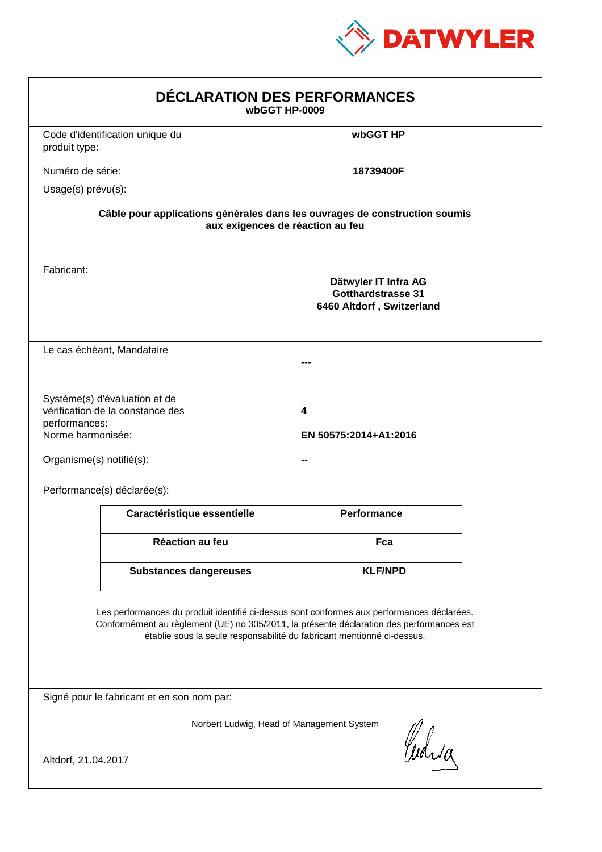

|                                                                |                                                                   | DÉCLARATION DES PERFORMANCES<br>wbGGT HP-0009                                                                                                                                                                                                                    |  |
|----------------------------------------------------------------|-------------------------------------------------------------------|------------------------------------------------------------------------------------------------------------------------------------------------------------------------------------------------------------------------------------------------------------------|--|
| produit type:                                                  | Code d'identification unique du                                   | wbGGT HP                                                                                                                                                                                                                                                         |  |
| Numéro de série:                                               |                                                                   | 18739400F                                                                                                                                                                                                                                                        |  |
| Usage(s) prévu(s):                                             |                                                                   |                                                                                                                                                                                                                                                                  |  |
|                                                                |                                                                   | Câble pour applications générales dans les ouvrages de construction soumis<br>aux exigences de réaction au feu                                                                                                                                                   |  |
| Fabricant:                                                     |                                                                   | Dätwyler IT Infra AG<br><b>Gotthardstrasse 31</b><br>6460 Altdorf, Switzerland                                                                                                                                                                                   |  |
|                                                                | Le cas échéant, Mandataire                                        |                                                                                                                                                                                                                                                                  |  |
| performances:<br>Norme harmonisée:<br>Organisme(s) notifié(s): | Système(s) d'évaluation et de<br>vérification de la constance des | 4<br>EN 50575:2014+A1:2016                                                                                                                                                                                                                                       |  |
|                                                                | Performance(s) déclarée(s):                                       |                                                                                                                                                                                                                                                                  |  |
|                                                                | Caractéristique essentielle                                       | <b>Performance</b>                                                                                                                                                                                                                                               |  |
|                                                                | <b>Réaction au feu</b>                                            | Fca                                                                                                                                                                                                                                                              |  |
|                                                                | <b>Substances dangereuses</b>                                     | <b>KLF/NPD</b>                                                                                                                                                                                                                                                   |  |
|                                                                |                                                                   | Les performances du produit identifié ci-dessus sont conformes aux performances déclarées.<br>Conformément au règlement (UE) no 305/2011, la présente déclaration des performances est<br>établie sous la seule responsabilité du fabricant mentionné ci-dessus. |  |
|                                                                | Signé pour le fabricant et en son nom par:                        |                                                                                                                                                                                                                                                                  |  |
| Altdorf, 21.04.2017                                            |                                                                   | Norbert Ludwig, Head of Management System<br>Curia                                                                                                                                                                                                               |  |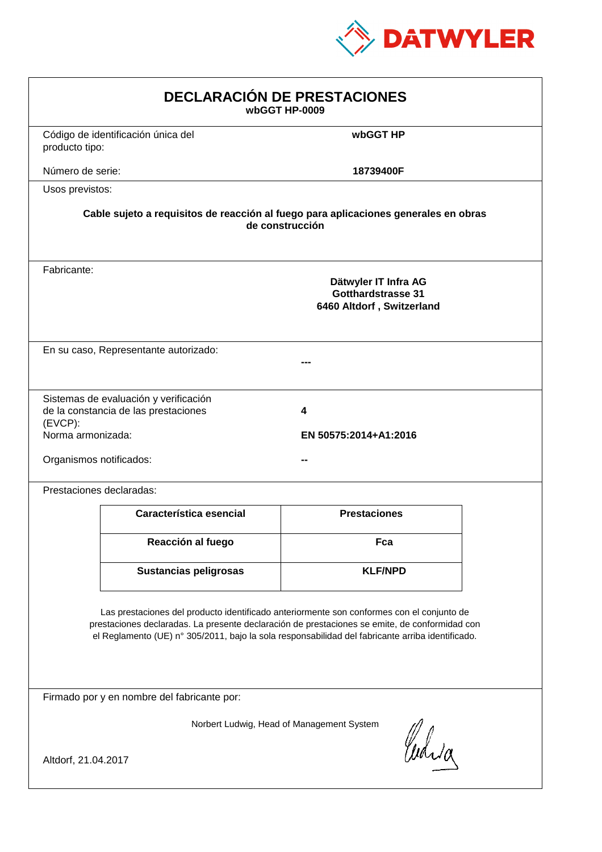

|                                                            |                                                                                                                                                                                                                                                                                                | <b>DECLARACIÓN DE PRESTACIONES</b><br>wbGGT HP-0009                     |  |
|------------------------------------------------------------|------------------------------------------------------------------------------------------------------------------------------------------------------------------------------------------------------------------------------------------------------------------------------------------------|-------------------------------------------------------------------------|--|
| producto tipo:                                             | Código de identificación única del                                                                                                                                                                                                                                                             | wbGGT HP                                                                |  |
| Número de serie:                                           |                                                                                                                                                                                                                                                                                                | 18739400F                                                               |  |
| Usos previstos:                                            |                                                                                                                                                                                                                                                                                                |                                                                         |  |
|                                                            | Cable sujeto a requisitos de reacción al fuego para aplicaciones generales en obras                                                                                                                                                                                                            | de construcción                                                         |  |
| Fabricante:                                                |                                                                                                                                                                                                                                                                                                | Dätwyler IT Infra AG<br>Gotthardstrasse 31<br>6460 Altdorf, Switzerland |  |
|                                                            | En su caso, Representante autorizado:                                                                                                                                                                                                                                                          |                                                                         |  |
| $(EVCP)$ :<br>Norma armonizada:<br>Organismos notificados: | Sistemas de evaluación y verificación<br>de la constancia de las prestaciones                                                                                                                                                                                                                  | 4<br>EN 50575:2014+A1:2016                                              |  |
|                                                            | Prestaciones declaradas:                                                                                                                                                                                                                                                                       |                                                                         |  |
|                                                            | Característica esencial                                                                                                                                                                                                                                                                        | <b>Prestaciones</b>                                                     |  |
|                                                            | Reacción al fuego                                                                                                                                                                                                                                                                              | Fca                                                                     |  |
|                                                            | <b>Sustancias peligrosas</b>                                                                                                                                                                                                                                                                   | <b>KLF/NPD</b>                                                          |  |
|                                                            | Las prestaciones del producto identificado anteriormente son conformes con el conjunto de<br>prestaciones declaradas. La presente declaración de prestaciones se emite, de conformidad con<br>el Reglamento (UE) nº 305/2011, bajo la sola responsabilidad del fabricante arriba identificado. |                                                                         |  |
|                                                            | Firmado por y en nombre del fabricante por:                                                                                                                                                                                                                                                    |                                                                         |  |
| Altdorf, 21.04.2017                                        |                                                                                                                                                                                                                                                                                                | Norbert Ludwig, Head of Management System<br>anda                       |  |